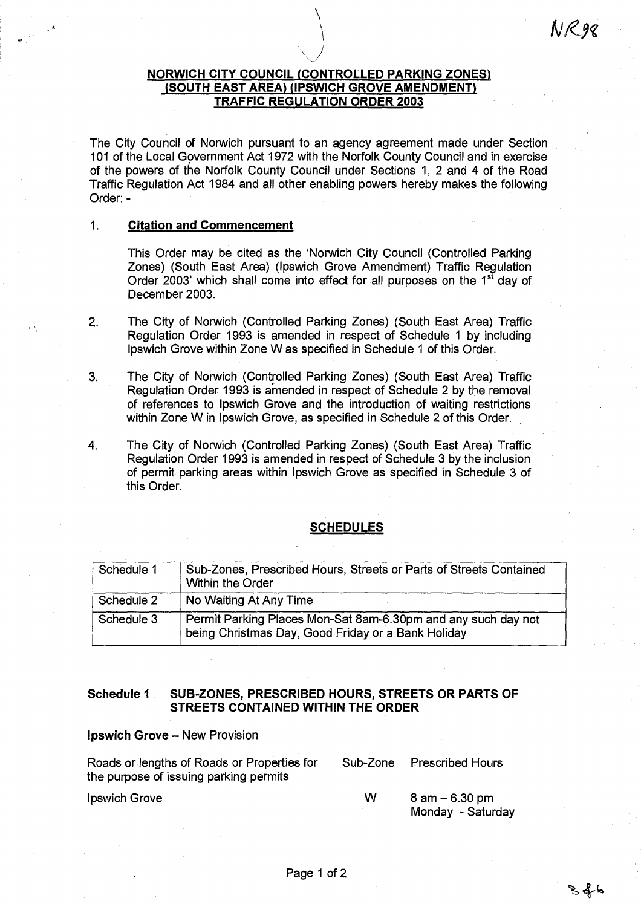# **NORWICH CITY COUNCIL (CONTROLLED PARKING ZONES), (SOUTH EAST AREA) (IPSWICH GROVE AMENDMENT) TRAFFIC REGULATION ORDER 2003**

The City Council of Norwich pursuant to an agency agreement made under Section 101 of the Local Government Act 1972 with the Norfolk County Council and in exercise of the powers of the Norfolk County Council under Sections 1, 2 and 4 of the Road Traffic Regulation Act 1984 and all other enabling powers hereby makes the following Order: -

#### **1. Citation and Commencement**

This Order may be cited as the 'Norwich City Council (Controlled Parking Zones) (South East Area) (Ipswich Grove Amendment) Traffic Regulation Order 2003' which shall come into effect for all purposes on the  $1<sup>st</sup>$  day of December 2003.

- 2. The City of Norwich (Controlled Parking Zones) (South East Area) Traffic Regulation Order 1993 is amended in respect of Schedule 1 by including Ipswich Grove within Zone W as specified in Schedule 1 of this Order.
- 3. The City of Norwich (Controlled Parking Zones) (South East Area) Traffic Regulation Order 1993 is amended in respect of Schedule 2 by the removal of references to Ipswich Grove and the introduction of waiting restrictions within Zone W in Ipswich Grove, as specified in Schedule 2 of this Order.

4. The City of Norwich (Controlled Parking Zones) (South East Area) Traffic Regulation Order 1993 is amended in respect of Schedule 3 by the inclusion of permit parking areas within Ipswich Grove as specified in Schedule 3 of this Order.

### **SCHEDULES**

| Schedule 1 | Sub-Zones, Prescribed Hours, Streets or Parts of Streets Contained<br>Within the Order                              |  |  |
|------------|---------------------------------------------------------------------------------------------------------------------|--|--|
| Schedule 2 | No Waiting At Any Time                                                                                              |  |  |
| Schedule 3 | Permit Parking Places Mon-Sat 8am-6.30pm and any such day not<br>being Christmas Day, Good Friday or a Bank Holiday |  |  |

# **Schedule 1 SUB-ZONES, PRESCRIBED HOURS, STREETS OR PARTS OF STREETS CONTAINED WITHIN THE ORDER**

**Ipswich Grove —** New Provision

| Roads or lengths of Roads or Properties for<br>the purpose of issuing parking permits | Sub-Zone | <b>Prescribed Hours</b>                |
|---------------------------------------------------------------------------------------|----------|----------------------------------------|
| Ipswich Grove                                                                         | W        | $8$ am $-6.30$ pm<br>Monday - Saturday |